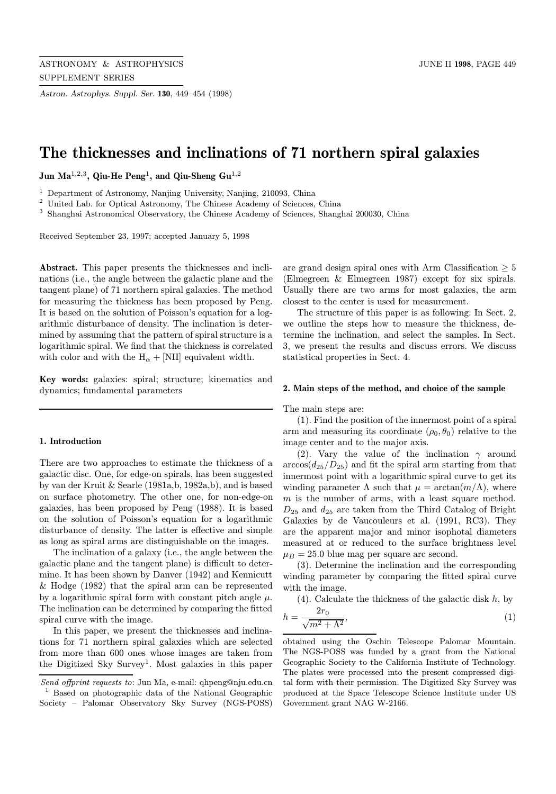Astron. Astrophys. Suppl. Ser. 130, 449–454 (1998)

# The thicknesses and inclinations of 71 northern spiral galaxies

Jun Ma<sup>1,2,3</sup>, Qiu-He Peng<sup>1</sup>, and Qiu-Sheng  $Gu^{1,2}$ 

<sup>1</sup> Department of Astronomy, Nanjing University, Nanjing, 210093, China

<sup>2</sup> United Lab. for Optical Astronomy, The Chinese Academy of Sciences, China

<sup>3</sup> Shanghai Astronomical Observatory, the Chinese Academy of Sciences, Shanghai 200030, China

Received September 23, 1997; accepted January 5, 1998

Abstract. This paper presents the thicknesses and inclinations (i.e., the angle between the galactic plane and the tangent plane) of 71 northern spiral galaxies. The method for measuring the thickness has been proposed by Peng. It is based on the solution of Poisson's equation for a logarithmic disturbance of density. The inclination is determined by assuming that the pattern of spiral structure is a logarithmic spiral. We find that the thickness is correlated with color and with the  $H_{\alpha} +$  [NII] equivalent width.

Key words: galaxies: spiral; structure; kinematics and dynamics; fundamental parameters

#### 1. Introduction

There are two approaches to estimate the thickness of a galactic disc. One, for edge-on spirals, has been suggested by van der Kruit & Searle (1981a,b, 1982a,b), and is based on surface photometry. The other one, for non-edge-on galaxies, has been proposed by Peng (1988). It is based on the solution of Poisson's equation for a logarithmic disturbance of density. The latter is effective and simple as long as spiral arms are distinguishable on the images.

The inclination of a galaxy (i.e., the angle between the galactic plane and the tangent plane) is difficult to determine. It has been shown by Danver (1942) and Kennicutt & Hodge (1982) that the spiral arm can be represented by a logarithmic spiral form with constant pitch angle  $\mu$ . The inclination can be determined by comparing the fitted spiral curve with the image.

In this paper, we present the thicknesses and inclinations for 71 northern spiral galaxies which are selected from more than 600 ones whose images are taken from the Digitized Sky Survey<sup>1</sup>. Most galaxies in this paper are grand design spiral ones with Arm Classification  $\geq 5$ (Elmegreen & Elmegreen 1987) except for six spirals. Usually there are two arms for most galaxies, the arm closest to the center is used for measurement.

The structure of this paper is as following: In Sect. 2, we outline the steps how to measure the thickness, determine the inclination, and select the samples. In Sect. 3, we present the results and discuss errors. We discuss statistical properties in Sect. 4.

#### 2. Main steps of the method, and choice of the sample

The main steps are:

(1). Find the position of the innermost point of a spiral arm and measuring its coordinate  $(\rho_0, \theta_0)$  relative to the image center and to the major axis.

(2). Vary the value of the inclination  $\gamma$  around  $arccos(d_{25}/D_{25})$  and fit the spiral arm starting from that innermost point with a logarithmic spiral curve to get its winding parameter  $\Lambda$  such that  $\mu = \arctan(m/\Lambda)$ , where  $m$  is the number of arms, with a least square method.  $D_{25}$  and  $d_{25}$  are taken from the Third Catalog of Bright Galaxies by de Vaucouleurs et al. (1991, RC3). They are the apparent major and minor isophotal diameters measured at or reduced to the surface brightness level  $\mu_B = 25.0$  blue mag per square arc second.

(3). Determine the inclination and the corresponding winding parameter by comparing the fitted spiral curve with the image.

 $(4)$ . Calculate the thickness of the galactic disk h, by

$$
h = \frac{2r_0}{\sqrt{m^2 + \Lambda^2}},\tag{1}
$$

obtained using the Oschin Telescope Palomar Mountain. The NGS-POSS was funded by a grant from the National Geographic Society to the California Institute of Technology. The plates were processed into the present compressed digital form with their permission. The Digitized Sky Survey was produced at the Space Telescope Science Institute under US Government grant NAG W-2166.

Send offprint requests to: Jun Ma, e-mail: qhpeng@nju.edu.cn <sup>1</sup> Based on photographic data of the National Geographic Society – Palomar Observatory Sky Survey (NGS-POSS)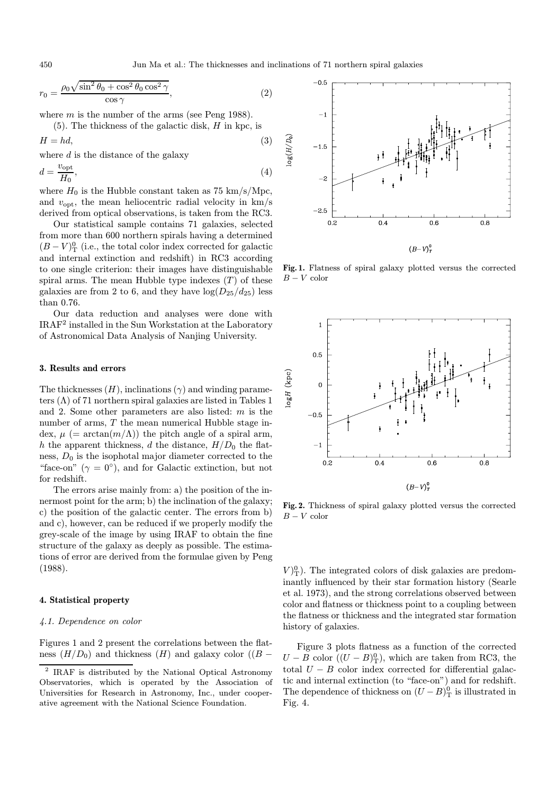$$
r_0 = \frac{\rho_0 \sqrt{\sin^2 \theta_0 + \cos^2 \theta_0 \cos^2 \gamma}}{\cos \gamma},
$$
\n(2)

where  $m$  is the number of the arms (see Peng 1988).

 $(5)$ . The thickness of the galactic disk, H in kpc, is

$$
H = hd,\tag{3}
$$

where  $d$  is the distance of the galaxy

$$
d = \frac{v_{\rm opt}}{H_0},\tag{4}
$$

where  $H_0$  is the Hubble constant taken as 75 km/s/Mpc, and  $v_{\text{out}}$ , the mean heliocentric radial velocity in  $km/s$ derived from optical observations, is taken from the RC3.

Our statistical sample contains 71 galaxies, selected from more than 600 northern spirals having a determined  $(B-V)^0$ <sub>T</sub> (i.e., the total color index corrected for galactic and internal extinction and redshift) in RC3 according to one single criterion: their images have distinguishable spiral arms. The mean Hubble type indexes  $(T)$  of these galaxies are from 2 to 6, and they have  $log(D_{25}/d_{25})$  less than 0.76.

Our data reduction and analyses were done with IRAF<sup>2</sup> installed in the Sun Workstation at the Laboratory of Astronomical Data Analysis of Nanjing University.

# 3. Results and errors

The thicknesses  $(H)$ , inclinations  $(\gamma)$  and winding parameters  $(\Lambda)$  of 71 northern spiral galaxies are listed in Tables 1 and 2. Some other parameters are also listed: m is the number of arms, T the mean numerical Hubble stage index,  $\mu$  (= arctan( $m/\Lambda$ )) the pitch angle of a spiral arm, h the apparent thickness, d the distance,  $H/D_0$  the flatness,  $D_0$  is the isophotal major diameter corrected to the "face-on" ( $\gamma = 0^{\circ}$ ), and for Galactic extinction, but not for redshift.

The errors arise mainly from: a) the position of the innermost point for the arm; b) the inclination of the galaxy; c) the position of the galactic center. The errors from b) and c), however, can be reduced if we properly modify the grey-scale of the image by using IRAF to obtain the fine structure of the galaxy as deeply as possible. The estimations of error are derived from the formulae given by Peng (1988).

#### 4. Statistical property

## 4.1. Dependence on color

Figures 1 and 2 present the correlations between the flatness  $(H/D_0)$  and thickness  $(H)$  and galaxy color  $((B -$ 



Fig. 1. Flatness of spiral galaxy plotted versus the corrected  $B-V$  color



Fig. 2. Thickness of spiral galaxy plotted versus the corrected  $B-V$  color

 $V_{\rm T}^{0}$ ). The integrated colors of disk galaxies are predominantly influenced by their star formation history (Searle et al. 1973), and the strong correlations observed between color and flatness or thickness point to a coupling between the flatness or thickness and the integrated star formation history of galaxies.

Figure 3 plots flatness as a function of the corrected  $U - B$  color  $((U - B)<sub>T</sub><sup>0</sup>)$ , which are taken from RC3, the total  $U - B$  color index corrected for differential galactic and internal extinction (to "face-on") and for redshift. The dependence of thickness on  $(U - B)_{\text{T}}^0$  is illustrated in Fig. 4.

<sup>2</sup> IRAF is distributed by the National Optical Astronomy Observatories, which is operated by the Association of Universities for Research in Astronomy, Inc., under cooperative agreement with the National Science Foundation.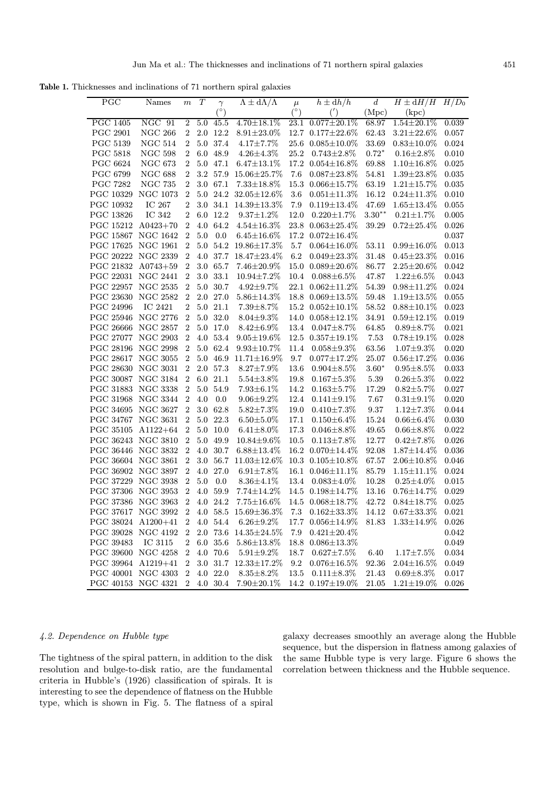Table 1. Thicknesses and inclinations of 71 northern spiral galaxies

| PGC                | Names           | $\,m$          | T       | $\gamma$    | $\Lambda \pm d\Lambda/\Lambda$ | $\mu$      | $h \pm dh/h$            | $\,d$    | $H \pm dH/H$ $H/D_0$    |       |
|--------------------|-----------------|----------------|---------|-------------|--------------------------------|------------|-------------------------|----------|-------------------------|-------|
|                    |                 |                |         |             |                                | $(^\circ)$ | (')                     | (Mpc)    | (kpc)                   |       |
| <b>PGC 1405</b>    | NGC 91          | $\overline{2}$ | 5.0     | 45.5        | $4.70 \pm 18.1\%$              | 23.1       | $0.077 \pm 20.1\%$      | 68.97    | $1.54 \pm 20.1\%$       | 0.039 |
| <b>PGC 2901</b>    | <b>NGC 266</b>  | 2              |         | $2.0$ 12.2  | $8.91 \pm 23.0\%$              |            | 12.7 0.177 $\pm$ 22.6%  | 62.43    | $3.21 \pm 22.6\%$       | 0.057 |
| <b>PGC 5139</b>    | <b>NGC 514</b>  | 2              |         | 5.0 37.4    | $4.17 \pm 7.7\%$               | 25.6       | $0.085 \pm 10.0\%$      | 33.69    | $0.83 \pm 10.0\%$       | 0.024 |
| <b>PGC 5818</b>    | $NGC$ 598       | $\overline{2}$ | $6.0\,$ | 48.9        | $4.26 \pm 4.3\%$               | 25.2       | $0.743 \pm 2.8\%$       | $0.72*$  | $0.16 + 2.8\%$          | 0.010 |
| PGC 6624           | NGC $673$       | $\overline{2}$ |         | 5.0 47.1    | $6.47 \pm 13.1\%$              |            | 17.2 0.054±16.8%        | 69.88    | $1.10 \pm 16.8\%$       | 0.025 |
| PGC 6799           | <b>NGC 688</b>  | $\overline{2}$ | $3.2\,$ | 57.9        | 15.06±25.7%                    | 7.6        | $0.087 \pm 23.8\%$      | 54.81    | $1.39 \pm 23.8\%$       | 0.035 |
| <b>PGC 7282</b>    | NGC 735         | 2              | $3.0\,$ | 67.1        | $7.33 \pm 18.8\%$              | 15.3       | $0.066 \pm 15.7\%$      | 63.19    | $1.21 \pm 15.7\%$       | 0.035 |
| PGC 10329          | <b>NGC 1073</b> | 2              | 5.0     | 24.2        | $32.05 \pm 12.6\%$             | 3.6        | $0.051 \pm 11.3\%$      | 16.12    | $0.24 \pm 11.3\%$       | 0.010 |
| PGC 10932          | IC 267          | 2              | $3.0\,$ | 34.1        | $14.39 \pm 13.3\%$             | 7.9        | $0.119 \pm 13.4\%$      | 47.69    | $1.65 \pm 13.4\%$       | 0.055 |
| PGC 13826          | IC 342          | 2              | 6.0     | 12.2        | $9.37 \pm 1.2\%$               | 12.0       | $0.220 \pm 1.7\%$       | $3.30**$ | $0.21 + 1.7\%$          | 0.005 |
| PGC 15212          | $A0423+70$      | $\overline{2}$ | 4.0     | 64.2        | $4.54 \pm 16.3\%$              | 23.8       | $0.063 \pm 25.4\%$      | 39.29    | $0.72 \pm 25.4\%$       | 0.026 |
| PGC 15867 NGC 1642 |                 | $\sqrt{2}$     | $5.0\,$ | 0.0         | $6.45 \pm 16.6\%$              | 17.2       | $0.072 \pm 16.4\%$      |          |                         | 0.037 |
| PGC 17625 NGC 1961 |                 | $\overline{2}$ | 5.0     |             | 54.2 19.86±17.3%               | 5.7        | $0.064 \pm 16.0\%$      | 53.11    | $0.99{\pm}16.0\%$       | 0.013 |
| PGC 20222 NGC 2339 |                 | 2              | 4.0     | $37.7\,$    | $18.47 \pm 23.4\%$             | 6.2        | $0.049 \pm 23.3\%$      | 31.48    | $0.45 \pm 23.3\%$       | 0.016 |
| PGC 21832 A0743+59 |                 | $\overline{2}$ | $3.0\,$ | 65.7        | $7.46 \pm 20.9\%$              | 15.0       | $0.089 \pm 20.6\%$      | 86.77    | $2.25 \pm 20.6\%$       | 0.042 |
| PGC 22031 NGC 2441 |                 | $\overline{2}$ | 3.0     | $33.1\,$    | 10.94±7.2%                     | 10.4       | $0.088 \pm 6.5\%$       | 47.87    | $1.22 \pm 6.5\%$        | 0.043 |
| PGC 22957 NGC 2535 |                 | $\overline{2}$ | 5.0     | 30.7        | $4.92 \pm 9.7\%$               | 22.1       | $0.062 \pm 11.2\%$      | 54.39    | $0.98 \pm 11.2\%$       | 0.024 |
| PGC 23630          | <b>NGC 2582</b> | $\overline{2}$ | $2.0\,$ | 27.0        | $5.86{\pm}14.3\%$              | 18.8       | $0.069\pm13.5\%$        | 59.48    | $1.19 \pm 13.5\%$       | 0.055 |
| PGC 24996          | IC 2421         | 2              |         | 5.0 21.1    | $7.39 \pm 8.7\%$               |            | 15.2 $0.052 \pm 10.1\%$ | 58.52    | $0.88 + 10.1\%$         | 0.023 |
| PGC 25946 NGC 2776 |                 | 2              |         | 5.0 32.0    | $8.04 \pm 9.3\%$               | 14.0       | $0.058 \pm 12.1\%$      | 34.91    | $0.59 \pm 12.1\%$       | 0.019 |
| PGC 26666 NGC 2857 |                 | $\overline{2}$ | 5.0     | 17.0        | $8.42 \pm 6.9\%$               | 13.4       | $0.047 + 8.7\%$         | 64.85    | $0.89 + 8.7\%$          | 0.021 |
| PGC 27077 NGC 2903 |                 | $\overline{2}$ | 4.0     | 53.4        | $9.05 \pm 19.6\%$              | 12.5       | $0.357 \pm 19.1\%$      | 7.53     | $0.78 \pm 19.1\%$       | 0.028 |
| PGC 28196 NGC 2998 |                 | $\overline{2}$ | 5.0     | 62.4        | $9.93 \pm 10.7\%$              | 11.4       | $0.058 \pm 9.3\%$       | 63.56    | $1.07 \pm 9.3\%$        | 0.020 |
| PGC 28617 NGC 3055 |                 | $\overline{2}$ | 5.0     | 46.9        | $11.71 \pm 16.9\%$             | 9.7        | $0.077 \pm 17.2\%$      | 25.07    | $0.56{\pm}17.2\%$       | 0.036 |
| PGC 28630 NGC 3031 |                 | $\overline{2}$ |         | 2.0 57.3    | $8.27 \pm 7.9\%$               | 13.6       | $0.904 \pm 8.5\%$       | $3.60*$  | $0.95 \pm 8.5\%$        | 0.033 |
| PGC 30087 NGC 3184 |                 | $\overline{2}$ |         | 6.0 21.1    | $5.54 \pm 3.8\%$               | 19.8       | $0.167 + 5.3\%$         | 5.39     | $0.26 + 5.3\%$          | 0.022 |
| PGC 31883 NGC 3338 |                 | $\overline{2}$ | 5.0     | 54.9        | $7.93 \pm 6.1\%$               | 14.2       | $0.163 + 5.7%$          | 17.29    | $0.82{\pm}5.7\%$        | 0.027 |
| PGC 31968 NGC 3344 |                 | $\overline{2}$ | 4.0     | 0.0         | $9.06 \pm 9.2\%$               | 12.4       | $0.141 \pm 9.1\%$       | 7.67     | $0.31 \pm 9.1\%$        | 0.020 |
| PGC 34695 NGC 3627 |                 | $\overline{2}$ | $3.0\,$ | 62.8        | $5.82 \pm 7.3\%$               | 19.0       | $0.410 \pm 7.3\%$       | 9.37     | $1.12 \pm 7.3\%$        | 0.044 |
| PGC 34767 NGC 3631 |                 | $\overline{2}$ |         | $5.0\ 22.3$ | $6.50{\pm}5.0\%$               | 17.1       | $0.150 \pm 6.4\%$       | 15.24    | $0.66 \pm 6.4\%$        | 0.030 |
| PGC 35105          | $A1122+64$      | 2              | 5.0     | 10.0        | $6.41 \pm 8.0\%$               | 17.3       | $0.046 \pm 8.8\%$       | 49.65    | $0.66 \pm 8.8\%$        | 0.022 |
| PGC 36243 NGC 3810 |                 | $\overline{2}$ | 5.0     | 49.9        | $10.84 \pm 9.6\%$              | 10.5       | $0.113 \pm 7.8\%$       | 12.77    | $0.42 \pm 7.8\%$        | 0.026 |
| PGC 36446 NGC 3832 |                 | $\overline{2}$ | 4.0     | 30.7        | $6.88{\pm}13.4\%$              |            | 16.2 $0.070 \pm 14.4\%$ | 92.08    | $1.87 \pm 14.4\%$       | 0.036 |
| PGC 36604 NGC 3861 |                 | $\overline{2}$ | 3.0     | 56.7        | $11.03 \pm 12.6\%$             |            | 10.3 $0.105 \pm 10.8\%$ | 67.57    | $2.06 \pm 10.8\%$       | 0.046 |
| PGC 36902 NGC 3897 |                 | $\overline{2}$ | $4.0\,$ | 27.0        | $6.91 \pm 7.8\%$               |            | 16.1 0.046±11.1%        | 85.79    | $1.15 \pm 11.1\%$       | 0.024 |
| PGC 37229 NGC 3938 |                 | $\overline{2}$ | $5.0\,$ | 0.0         | $8.36 \pm 4.1\%$               | 13.4       | $0.083 \pm 4.0\%$       | 10.28    | $0.25 \pm 4.0\%$        | 0.015 |
| PGC 37306 NGC 3953 |                 | 2              |         | 4.0 59.9    | $7.74{\pm}14.2\%$              |            | 14.5 $0.198 \pm 14.7\%$ | 13.16    | $0.76{\pm}14.7\%$       | 0.029 |
| PGC 37386 NGC 3963 |                 | $\overline{2}$ |         | 4.0 24.2    | $7.75 \pm 16.6\%$              |            | 14.5 0.068±18.7%        | 42.72    | $0.84 + 18.7\%$         | 0.025 |
| PGC 37617 NGC 3992 |                 | $\sqrt{2}$     |         |             | 4.0 58.5 $15.69 \pm 36.3\%$    |            | 7.3 $0.162 \pm 33.3\%$  |          | 14.12 $0.67 \pm 33.3\%$ | 0.021 |
| PGC 38024 A1200+41 |                 | $\overline{2}$ |         | 4.0 54.4    | $6.26{\pm}9.2\%$               |            | 17.7 0.056±14.9%        | 81.83    | $1.33{\pm}14.9\%$       | 0.026 |
| PGC 39028 NGC 4192 |                 | $\overline{2}$ |         |             | 2.0 73.6 $14.35 \pm 24.5\%$    | 7.9        | $0.421 \pm 20.4\%$      |          |                         | 0.042 |
| PGC 39483          | IC 3115         | 2              |         | 6.0 35.6    | $5.86 \pm 13.8\%$              |            | 18.8 0.086±13.3%        |          |                         | 0.049 |
| PGC 39600 NGC 4258 |                 | 2              |         | 4.0 70.6    | $5.91 \pm 9.2\%$               | 18.7       | $0.627 \pm 7.5\%$       | 6.40     | $1.17 \pm 7.5\%$        | 0.034 |
| PGC 39964 A1219+41 |                 | $\overline{2}$ |         |             | 3.0 31.7 $12.33 \pm 17.2\%$    | 9.2        | $0.076 \pm 16.5\%$      | 92.36    | $2.04 \pm 16.5\%$       | 0.049 |
| PGC 40001 NGC 4303 |                 | $\overline{2}$ |         | 4.0 22.0    | $8.35 \pm 8.2\%$               | 13.5       | $0.111 \pm 8.3\%$       | 21.43    | $0.69 + 8.3\%$          | 0.017 |
| PGC 40153 NGC 4321 |                 | $\overline{2}$ |         | 4.0 30.4    | $7.90 \pm 20.1\%$              |            | 14.2 0.197±19.0%        | 21.05    | $1.21 \pm 19.0\%$       | 0.026 |

# 4.2. Dependence on Hubble type

The tightness of the spiral pattern, in addition to the disk resolution and bulge-to-disk ratio, are the fundamental criteria in Hubble's (1926) classification of spirals. It is interesting to see the dependence of flatness on the Hubble type, which is shown in Fig. 5. The flatness of a spiral galaxy decreases smoothly an average along the Hubble sequence, but the dispersion in flatness among galaxies of the same Hubble type is very large. Figure 6 shows the correlation between thickness and the Hubble sequence.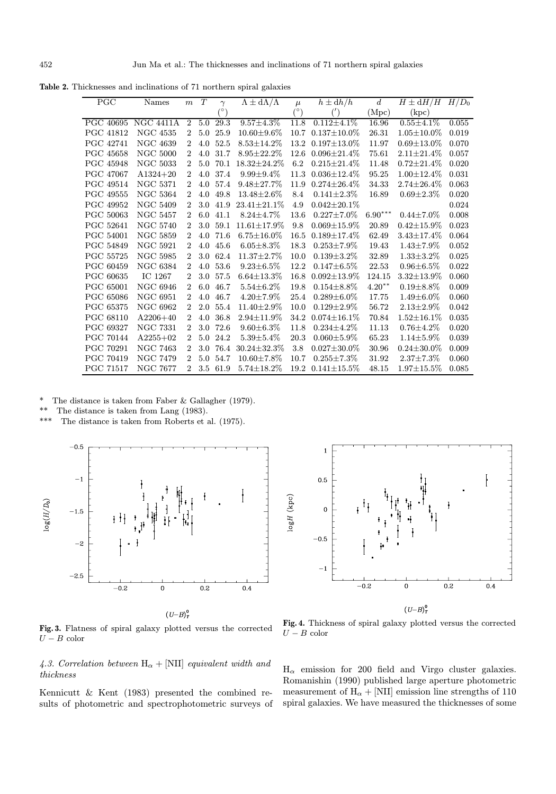Table 2. Thicknesses and inclinations of 71 northern spiral galaxies

| PGC              | Names            | m              | $\cal T$ | $\gamma$ | $\Lambda \pm d\Lambda/\Lambda$ | $\mu$      | $h \pm dh/h$       | $d_{\cdot}$                 | $H \pm dH/H$      | $H/D_0$ |
|------------------|------------------|----------------|----------|----------|--------------------------------|------------|--------------------|-----------------------------|-------------------|---------|
|                  |                  |                |          | (٥١      |                                | $(^\circ)$ |                    | $\left( \text{Mpc} \right)$ | $\rm(kpc)$        |         |
| PGC 40695        | <b>NGC 4411A</b> | $\overline{2}$ | $5.0\,$  | 29.3     | $9.57 \pm 4.3\%$               | 11.8       | $0.112 \pm 4.1\%$  | 16.96                       | $0.55 \pm 4.1\%$  | 0.055   |
| <b>PGC 41812</b> | <b>NGC 4535</b>  | $\overline{2}$ | 5.0      | 25.9     | $10.60 \pm 9.6\%$              | 10.7       | $0.137 \pm 10.0\%$ | 26.31                       | $1.05 \pm 10.0\%$ | 0.019   |
| <b>PGC 42741</b> | <b>NGC 4639</b>  | $\overline{2}$ | 4.0      | 52.5     | $8.53 \pm 14.2\%$              | 13.2       | $0.197 \pm 13.0\%$ | 11.97                       | $0.69 \pm 13.0\%$ | 0.070   |
| <b>PGC 45658</b> | $\rm NGC~5000$   | $\overline{2}$ | 4.0      | 31.7     | $8.95 \pm 22.2\%$              | 12.6       | $0.096 \pm 21.4\%$ | 75.61                       | $2.11 \pm 21.4\%$ | 0.057   |
| <b>PGC 45948</b> | <b>NGC 5033</b>  | $\overline{2}$ | 5.0      | 70.1     | $18.32 \pm 24.2\%$             | 6.2        | $0.215 \pm 21.4\%$ | 11.48                       | $0.72 \pm 21.4\%$ | 0.020   |
| PGC 47067        | $A1324 + 20$     | $\overline{2}$ | 4.0      | 37.4     | $9.99 \pm 9.4\%$               | 11.3       | $0.036 \pm 12.4\%$ | 95.25                       | $1.00 \pm 12.4\%$ | 0.031   |
| PGC 49514        | <b>NGC 5371</b>  | $\overline{2}$ | 4.0      | 57.4     | $9.48 \pm 27.7\%$              | 11.9       | $0.274 \pm 26.4\%$ | 34.33                       | $2.74 \pm 26.4\%$ | 0.063   |
| <b>PGC 49555</b> | <b>NGC 5364</b>  | $\overline{2}$ | 4.0      | 49.8     | $13.48 \pm 2.6\%$              | 8.4        | $0.141 \pm 2.3\%$  | 16.89                       | $0.69 \pm 2.3\%$  | 0.020   |
| PGC 49952        | <b>NGC 5409</b>  | $\overline{2}$ | 3.0      | 41.9     | $23.41 \pm 21.1\%$             | 4.9        | $0.042 \pm 20.1\%$ |                             |                   | 0.024   |
| PGC 50063        | <b>NGC 5457</b>  | $\overline{2}$ | 6.0      | 41.1     | $8.24 + 4.7\%$                 | 13.6       | $0.227 \pm 7.0\%$  | $6.90^{\ast\ast\ast}$       | $0.44 \pm 7.0\%$  | 0.008   |
| PGC 52641        | $\rm NGC~5740$   | $\overline{2}$ | 3.0      | 59.1     | $11.61 \pm 17.9\%$             | 9.8        | $0.069 \pm 15.9\%$ | 20.89                       | $0.42 \pm 15.9\%$ | 0.023   |
| <b>PGC 54001</b> | $\rm NGC~5859$   | $\overline{2}$ | 4.0      | 71.6     | $6.75 \pm 16.0\%$              | 16.5       | $0.189 \pm 17.4\%$ | 62.49                       | $3.43 \pm 17.4\%$ | 0.064   |
| PGC 54849        | <b>NGC 5921</b>  | $\overline{2}$ | 4.0      | 45.6     | $6.05 \pm 8.3\%$               | 18.3       | $0.253 \pm 7.9\%$  | 19.43                       | $1.43 \pm 7.9\%$  | 0.052   |
| <b>PGC 55725</b> | <b>NGC 5985</b>  | $\overline{2}$ | 3.0      | 62.4     | $11.37 \pm 2.7\%$              | 10.0       | $0.139 \pm 3.2\%$  | 32.89                       | $1.33 \pm 3.2\%$  | 0.025   |
| PGC 60459        | <b>NGC 6384</b>  | $\overline{2}$ | 4.0      | 53.6     | $9.23 \pm 6.5\%$               | 12.2       | $0.147 \pm 6.5\%$  | 22.53                       | $0.96 \pm 6.5\%$  | 0.022   |
| PGC 60635        | IC 1267          | $\overline{2}$ | 3.0      | 57.5     | $6.64 \pm 13.3\%$              | 16.8       | $0.092 \pm 13.9\%$ | 124.15                      | $3.32 \pm 13.9\%$ | 0.060   |
| <b>PGC 65001</b> | <b>NGC 6946</b>  | $\mathfrak{D}$ | 6.0      | 46.7     | $5.54 \pm 6.2\%$               | 19.8       | $0.154 \pm 8.8\%$  | $4.20**$                    | $0.19 \pm 8.8\%$  | 0.009   |
| PGC 65086        | <b>NGC 6951</b>  | $\overline{2}$ | 4.0      | 46.7     | $4.20 \pm 7.9\%$               | 25.4       | $0.289 \pm 6.0\%$  | 17.75                       | $1.49 \pm 6.0\%$  | 0.060   |
| PGC 65375        | <b>NGC 6962</b>  | $\overline{2}$ | 2.0      | 55.4     | $11.40 \pm 2.9\%$              | 10.0       | $0.129 \pm 2.9\%$  | 56.72                       | $2.13 \pm 2.9\%$  | 0.042   |
| <b>PGC 68110</b> | $A2206 + 40$     | $\overline{2}$ | 4.0      | 36.8     | $2.94 \pm 11.9\%$              | 34.2       | $0.074 \pm 16.1\%$ | 70.84                       | $1.52 \pm 16.1\%$ | 0.035   |
| PGC 69327        | <b>NGC 7331</b>  | $\overline{2}$ | 3.0      | 72.6     | $9.60 \pm 6.3\%$               | 11.8       | $0.234 \pm 4.2\%$  | 11.13                       | $0.76{\pm}4.2\%$  | 0.020   |
| <b>PGC 70144</b> | $A2255+02$       | $\overline{2}$ | 5.0      | 24.2     | $5.39 + 5.4\%$                 | 20.3       | $0.060 \pm 5.9\%$  | 65.23                       | $1.14 \pm 5.9\%$  | 0.039   |
| PGC 70291        | <b>NGC 7463</b>  | $\overline{2}$ | 3.0      | 76.4     | $30.24 \pm 32.3\%$             | 3.8        | $0.027 \pm 30.0\%$ | 30.96                       | $0.24 + 30.0\%$   | 0.009   |
| PGC 70419        | NGC 7479         | $\overline{2}$ | 5.0      | 54.7     | $10.60 \pm 7.8\%$              | 10.7       | $0.255 \pm 7.3\%$  | $31.92\,$                   | $2.37 \pm 7.3\%$  | 0.060   |
| <b>PGC 71517</b> | NGC 7677         | $\overline{2}$ | 3.5      | 61.9     | $5.74 \pm 18.2\%$              | 19.2       | $0.141 \pm 15.5\%$ | 48.15                       | $1.97 \pm 15.5\%$ | 0.085   |

\* The distance is taken from Faber & Gallagher (1979).

The distance is taken from Lang (1983).

\*\*\* The distance is taken from Roberts et al. (1975).



 $(U-B)^0_T$ 



Fig. 4. Thickness of spiral galaxy plotted versus the corrected

 $U$  –  ${\cal B}$  color

Fig. 3. Flatness of spiral galaxy plotted versus the corrected  $U - B$  color

4.3. Correlation between  $\mathbf{H}_\alpha + [\text{NII}]$  equivalent width and thickness

Kennicutt & Kent (1983) presented the combined results of photometric and spectrophotometric surveys of  $H_{\alpha}$  emission for 200 field and Virgo cluster galaxies. Romanishin (1990) published large aperture photometric measurement of  $\text{H}_{\alpha} + [\text{NII}]$  emission line strengths of  $110$ spiral galaxies. We have measured the thicknesses of some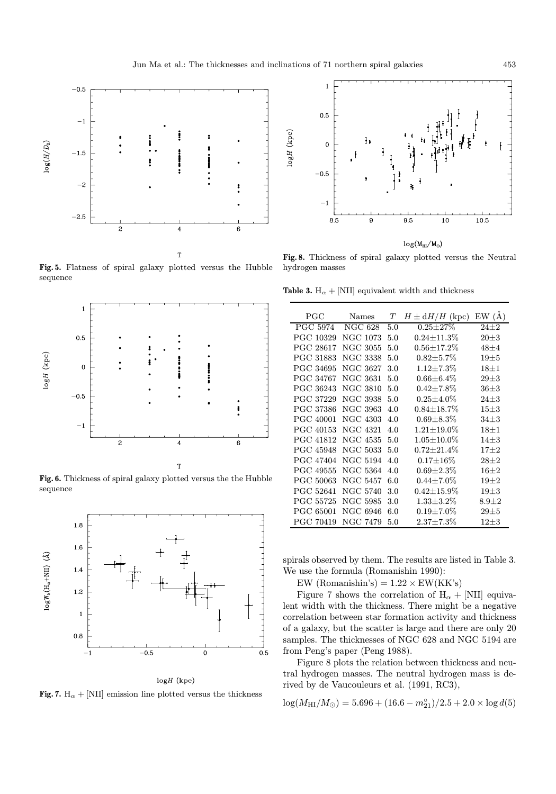

Fig. 5. Flatness of spiral galaxy plotted versus the Hubble sequence

T



Fig. 6. Thickness of spiral galaxy plotted versus the the Hubble sequence



# $logH$  (kpc)

Fig. 7.  $H_{\alpha}$  + [NII] emission line plotted versus the thickness



 $log(M_{HI}/M_{\odot})$ 

Fig. 8. Thickness of spiral galaxy plotted versus the Neutral hydrogen masses

Table 3.  $H_{\alpha} +$  [NII] equivalent width and thickness

| $_{\mathrm{PGC}}$ | Names           | T   | $H \pm dH/H$ (kpc) | EW(A)     |
|-------------------|-----------------|-----|--------------------|-----------|
| <b>PGC 5974</b>   | <b>NGC 628</b>  | 5.0 | $0.25 \pm 27\%$    | $24\pm2$  |
| PGC 10329         | <b>NGC 1073</b> | 5.0 | $0.24 \pm 11.3\%$  | $20\pm3$  |
| PGC 28617         | <b>NGC 3055</b> | 5.0 | $0.56 \pm 17.2\%$  | $48\pm4$  |
| PGC 31883         | <b>NGC 3338</b> | 5.0 | $0.82 + 5.7\%$     | $19\pm5$  |
| <b>PGC 34695</b>  | NGC 3627        | 3.0 | $1.12 \pm 7.3\%$   | $18\pm1$  |
| <b>PGC 34767</b>  | NGC 3631        | 5.0 | $0.66 \pm 6.4\%$   | $29 + 3$  |
| PGC 36243         | NGC 3810        | 5.0 | $0.42{\pm}7.8\%$   | $36 + 3$  |
| PGC 37229         | NGC 3938        | 5.0 | $0.25 \pm 4.0\%$   | $24 + 3$  |
| PGC 37386         | NGC 3963        | 4.0 | $0.84 \pm 18.7\%$  | $15 + 3$  |
| PGC 40001         | NGC 4303        | 4.0 | $0.69 + 8.3\%$     | $34\pm3$  |
| PGC 40153         | <b>NGC 4321</b> | 4.0 | $1.21 \pm 19.0\%$  | $18\pm1$  |
| PGC 41812         | NGC 4535        | 5.0 | $1.05 \pm 10.0\%$  | $14\pm3$  |
| <b>PGC 45948</b>  | <b>NGC 5033</b> | 5.0 | $0.72 \pm 21.4\%$  | $17\pm2$  |
| PGC 47404         | NGC 5194        | 4.0 | $0.17 \pm 16\%$    | $28 + 2$  |
| <b>PGC 49555</b>  | NGC 5364        | 4.0 | $0.69{\pm}2.3\%$   | $16 + 2$  |
| PGC 50063         | NGC 5457        | 6.0 | $0.44{\pm}7.0\%$   | $19 + 2$  |
| PGC 52641         | <b>NGC 5740</b> | 3.0 | $0.42 \pm 15.9\%$  | $19 + 3$  |
| PGC 55725         | NGC 5985        | 3.0 | $1.33 \pm 3.2\%$   | $8.9 + 2$ |
| PGC 65001         | NGC 6946        | 6.0 | $0.19{\pm}7.0\%$   | $29 + 5$  |
| PGC 70419         | NGC 7479        | 5.0 | $2.37{\pm}7.3\%$   | $12 + 3$  |

spirals observed by them. The results are listed in Table 3. We use the formula (Romanishin 1990):

EW (Romanishin's) =  $1.22 \times EW(KK's)$ 

Figure 7 shows the correlation of  $H_{\alpha} +$  [NII] equivalent width with the thickness. There might be a negative correlation between star formation activity and thickness of a galaxy, but the scatter is large and there are only 20 samples. The thicknesses of NGC 628 and NGC 5194 are from Peng's paper (Peng 1988).

Figure 8 plots the relation between thickness and neutral hydrogen masses. The neutral hydrogen mass is derived by de Vaucouleurs et al. (1991, RC3),

$$
\log(M_{\rm HI}/M_{\odot})=5.696+(16.6-m_{21}^{\circ})/2.5+2.0\times\log d(5)
$$